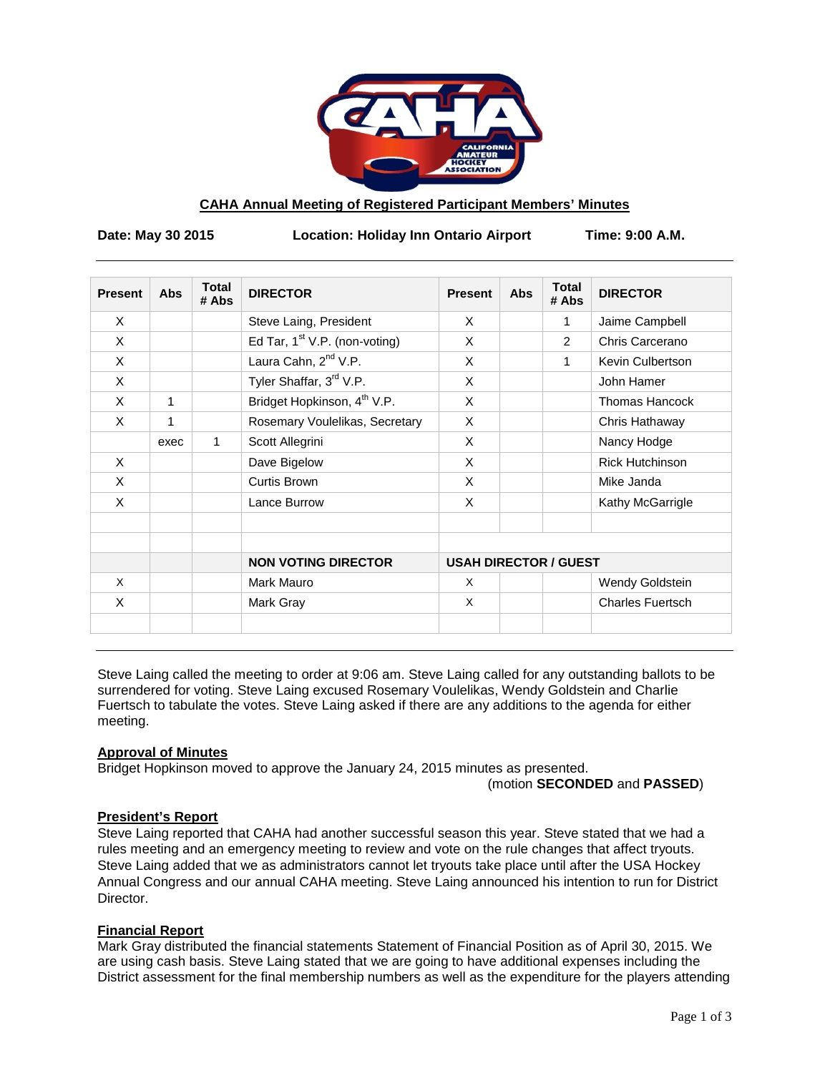

# **CAHA Annual Meeting of Registered Participant Members' Minutes**

**Date: May 30 2015 Location: Holiday Inn Ontario Airport Time: 9:00 A.M.**

| <b>Present</b> | <b>Abs</b> | <b>Total</b><br># Abs | <b>DIRECTOR</b>                         | <b>Present</b>               | <b>Abs</b> | <b>Total</b><br># Abs | <b>DIRECTOR</b>         |
|----------------|------------|-----------------------|-----------------------------------------|------------------------------|------------|-----------------------|-------------------------|
| X              |            |                       | Steve Laing, President                  | X                            |            | 1                     | Jaime Campbell          |
| X              |            |                       | Ed Tar, $1st$ V.P. (non-voting)         | X                            |            | 2                     | Chris Carcerano         |
| X              |            |                       | Laura Cahn, 2 <sup>nd</sup> V.P.        | X                            |            | 1                     | Kevin Culbertson        |
| X              |            |                       | Tyler Shaffar, 3rd V.P.                 | X                            |            |                       | John Hamer              |
| X              | 1          |                       | Bridget Hopkinson, 4 <sup>th</sup> V.P. | X                            |            |                       | <b>Thomas Hancock</b>   |
| X              | 1          |                       | Rosemary Voulelikas, Secretary          | X                            |            |                       | Chris Hathaway          |
|                | exec       | 1                     | Scott Allegrini                         | X                            |            |                       | Nancy Hodge             |
| X              |            |                       | Dave Bigelow                            | X                            |            |                       | <b>Rick Hutchinson</b>  |
| X              |            |                       | Curtis Brown                            | X                            |            |                       | Mike Janda              |
| X              |            |                       | Lance Burrow                            | X                            |            |                       | Kathy McGarrigle        |
|                |            |                       | <b>NON VOTING DIRECTOR</b>              | <b>USAH DIRECTOR / GUEST</b> |            |                       |                         |
| X              |            |                       | Mark Mauro                              | X                            |            |                       | Wendy Goldstein         |
| X              |            |                       | Mark Gray                               | X                            |            |                       | <b>Charles Fuertsch</b> |

Steve Laing called the meeting to order at 9:06 am. Steve Laing called for any outstanding ballots to be surrendered for voting. Steve Laing excused Rosemary Voulelikas, Wendy Goldstein and Charlie Fuertsch to tabulate the votes. Steve Laing asked if there are any additions to the agenda for either meeting.

### **Approval of Minutes**

Bridget Hopkinson moved to approve the January 24, 2015 minutes as presented.

(motion **SECONDED** and **PASSED**)

# **President's Report**

Steve Laing reported that CAHA had another successful season this year. Steve stated that we had a rules meeting and an emergency meeting to review and vote on the rule changes that affect tryouts. Steve Laing added that we as administrators cannot let tryouts take place until after the USA Hockey Annual Congress and our annual CAHA meeting. Steve Laing announced his intention to run for District Director.

### **Financial Report**

Mark Gray distributed the financial statements Statement of Financial Position as of April 30, 2015. We are using cash basis. Steve Laing stated that we are going to have additional expenses including the District assessment for the final membership numbers as well as the expenditure for the players attending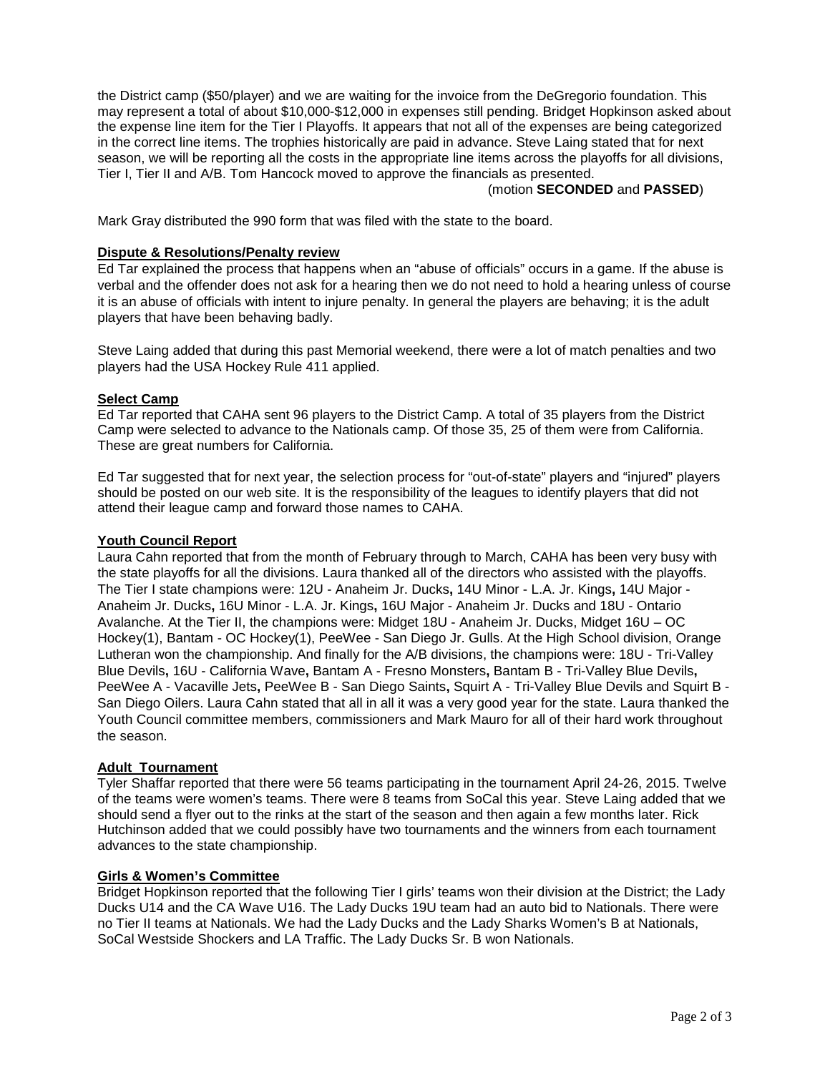the District camp (\$50/player) and we are waiting for the invoice from the DeGregorio foundation. This may represent a total of about \$10,000-\$12,000 in expenses still pending. Bridget Hopkinson asked about the expense line item for the Tier I Playoffs. It appears that not all of the expenses are being categorized in the correct line items. The trophies historically are paid in advance. Steve Laing stated that for next season, we will be reporting all the costs in the appropriate line items across the playoffs for all divisions, Tier I, Tier II and A/B. Tom Hancock moved to approve the financials as presented.

### (motion **SECONDED** and **PASSED**)

Mark Gray distributed the 990 form that was filed with the state to the board.

### **Dispute & Resolutions/Penalty review**

Ed Tar explained the process that happens when an "abuse of officials" occurs in a game. If the abuse is verbal and the offender does not ask for a hearing then we do not need to hold a hearing unless of course it is an abuse of officials with intent to injure penalty. In general the players are behaving; it is the adult players that have been behaving badly.

Steve Laing added that during this past Memorial weekend, there were a lot of match penalties and two players had the USA Hockey Rule 411 applied.

# **Select Camp**

Ed Tar reported that CAHA sent 96 players to the District Camp. A total of 35 players from the District Camp were selected to advance to the Nationals camp. Of those 35, 25 of them were from California. These are great numbers for California.

Ed Tar suggested that for next year, the selection process for "out-of-state" players and "injured" players should be posted on our web site. It is the responsibility of the leagues to identify players that did not attend their league camp and forward those names to CAHA.

### **Youth Council Report**

Laura Cahn reported that from the month of February through to March, CAHA has been very busy with the state playoffs for all the divisions. Laura thanked all of the directors who assisted with the playoffs. The Tier I state champions were: 12U - Anaheim Jr. Ducks**,** 14U Minor - L.A. Jr. Kings**,** 14U Major - Anaheim Jr. Ducks**,** 16U Minor - L.A. Jr. Kings**,** 16U Major - Anaheim Jr. Ducks and 18U - Ontario Avalanche. At the Tier II, the champions were: Midget 18U - Anaheim Jr. Ducks, Midget 16U – OC Hockey(1), Bantam - OC Hockey(1), PeeWee - San Diego Jr. Gulls. At the High School division, Orange Lutheran won the championship. And finally for the A/B divisions, the champions were: 18U - Tri-Valley Blue Devils**,** 16U - California Wave**,** Bantam A - Fresno Monsters**,** Bantam B - Tri-Valley Blue Devils**,**  PeeWee A - Vacaville Jets**,** PeeWee B - San Diego Saints**,** Squirt A - Tri-Valley Blue Devils and Squirt B - San Diego Oilers. Laura Cahn stated that all in all it was a very good year for the state. Laura thanked the Youth Council committee members, commissioners and Mark Mauro for all of their hard work throughout the season.

# **Adult Tournament**

Tyler Shaffar reported that there were 56 teams participating in the tournament April 24-26, 2015. Twelve of the teams were women's teams. There were 8 teams from SoCal this year. Steve Laing added that we should send a flyer out to the rinks at the start of the season and then again a few months later. Rick Hutchinson added that we could possibly have two tournaments and the winners from each tournament advances to the state championship.

### **Girls & Women's Committee**

Bridget Hopkinson reported that the following Tier I girls' teams won their division at the District; the Lady Ducks U14 and the CA Wave U16. The Lady Ducks 19U team had an auto bid to Nationals. There were no Tier II teams at Nationals. We had the Lady Ducks and the Lady Sharks Women's B at Nationals, SoCal Westside Shockers and LA Traffic. The Lady Ducks Sr. B won Nationals.